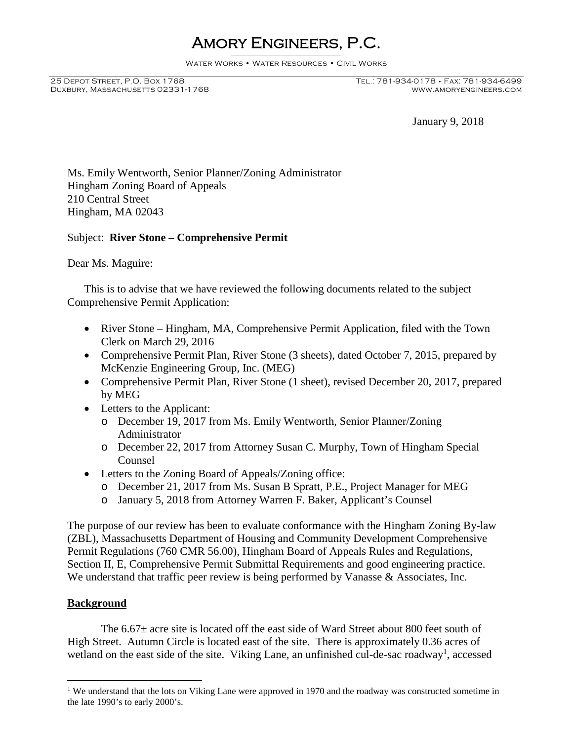## Amory Engineers, P.C.

Water Works • Water Resources • Civil Works

DUXBURY, MASSACHUSETTS 02331-1768

January 9, 2018

Ms. Emily Wentworth, Senior Planner/Zoning Administrator Hingham Zoning Board of Appeals 210 Central Street Hingham, MA 02043

## Subject: **River Stone – Comprehensive Permit**

Dear Ms. Maguire:

This is to advise that we have reviewed the following documents related to the subject Comprehensive Permit Application:

- River Stone Hingham, MA, Comprehensive Permit Application, filed with the Town Clerk on March 29, 2016
- Comprehensive Permit Plan, River Stone (3 sheets), dated October 7, 2015, prepared by McKenzie Engineering Group, Inc. (MEG)
- Comprehensive Permit Plan, River Stone (1 sheet), revised December 20, 2017, prepared by MEG
- Letters to the Applicant:
	- o December 19, 2017 from Ms. Emily Wentworth, Senior Planner/Zoning Administrator
	- o December 22, 2017 from Attorney Susan C. Murphy, Town of Hingham Special Counsel
- Letters to the Zoning Board of Appeals/Zoning office:
	- o December 21, 2017 from Ms. Susan B Spratt, P.E., Project Manager for MEG
	- o January 5, 2018 from Attorney Warren F. Baker, Applicant's Counsel

The purpose of our review has been to evaluate conformance with the Hingham Zoning By-law (ZBL), Massachusetts Department of Housing and Community Development Comprehensive Permit Regulations (760 CMR 56.00), Hingham Board of Appeals Rules and Regulations, Section II, E, Comprehensive Permit Submittal Requirements and good engineering practice. We understand that traffic peer review is being performed by Vanasse & Associates, Inc.

## **Background**

The  $6.67\pm$  acre site is located off the east side of Ward Street about 800 feet south of High Street. Autumn Circle is located east of the site. There is approximately 0.36 acres of wetland on the east side of the site. Viking Lane, an unfinished cul-de-sac roadway<sup>1</sup>, accessed

<sup>&</sup>lt;sup>1</sup> We understand that the lots on Viking Lane were approved in 1970 and the roadway was constructed sometime in the late 1990's to early 2000's.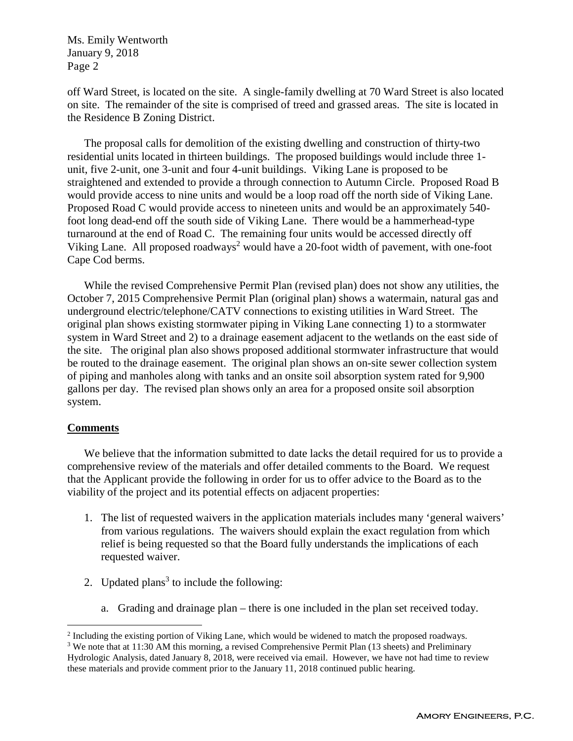Ms. Emily Wentworth January 9, 2018 Page 2

off Ward Street, is located on the site. A single-family dwelling at 70 Ward Street is also located on site. The remainder of the site is comprised of treed and grassed areas. The site is located in the Residence B Zoning District.

The proposal calls for demolition of the existing dwelling and construction of thirty-two residential units located in thirteen buildings. The proposed buildings would include three 1 unit, five 2-unit, one 3-unit and four 4-unit buildings. Viking Lane is proposed to be straightened and extended to provide a through connection to Autumn Circle. Proposed Road B would provide access to nine units and would be a loop road off the north side of Viking Lane. Proposed Road C would provide access to nineteen units and would be an approximately 540 foot long dead-end off the south side of Viking Lane. There would be a hammerhead-type turnaround at the end of Road C. The remaining four units would be accessed directly off Viking Lane. All proposed roadways<sup>2</sup> would have a 20-foot width of pavement, with one-foot Cape Cod berms.

While the revised Comprehensive Permit Plan (revised plan) does not show any utilities, the October 7, 2015 Comprehensive Permit Plan (original plan) shows a watermain, natural gas and underground electric/telephone/CATV connections to existing utilities in Ward Street. The original plan shows existing stormwater piping in Viking Lane connecting 1) to a stormwater system in Ward Street and 2) to a drainage easement adjacent to the wetlands on the east side of the site. The original plan also shows proposed additional stormwater infrastructure that would be routed to the drainage easement. The original plan shows an on-site sewer collection system of piping and manholes along with tanks and an onsite soil absorption system rated for 9,900 gallons per day. The revised plan shows only an area for a proposed onsite soil absorption system.

## **Comments**

We believe that the information submitted to date lacks the detail required for us to provide a comprehensive review of the materials and offer detailed comments to the Board. We request that the Applicant provide the following in order for us to offer advice to the Board as to the viability of the project and its potential effects on adjacent properties:

- 1. The list of requested waivers in the application materials includes many 'general waivers' from various regulations. The waivers should explain the exact regulation from which relief is being requested so that the Board fully understands the implications of each requested waiver.
- 2. Updated plans<sup>3</sup> to include the following:
	- a. Grading and drainage plan there is one included in the plan set received today.

<sup>&</sup>lt;sup>2</sup> Including the existing portion of Viking Lane, which would be widened to match the proposed roadways.

<sup>&</sup>lt;sup>3</sup> We note that at 11:30 AM this morning, a revised Comprehensive Permit Plan (13 sheets) and Preliminary Hydrologic Analysis, dated January 8, 2018, were received via email. However, we have not had time to review these materials and provide comment prior to the January 11, 2018 continued public hearing.